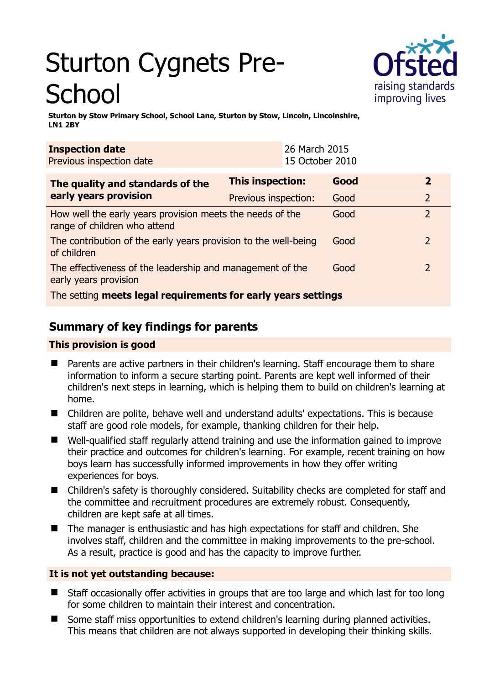# Sturton Cygnets Pre-**School**



**Sturton by Stow Primary School, School Lane, Sturton by Stow, Lincoln, Lincolnshire, LN1 2BY** 

| <b>Inspection date</b><br>Previous inspection date                                        |                         | 26 March 2015<br>15 October 2010 |      |  |                |
|-------------------------------------------------------------------------------------------|-------------------------|----------------------------------|------|--|----------------|
| The quality and standards of the                                                          | <b>This inspection:</b> |                                  | Good |  | $\overline{2}$ |
| early years provision                                                                     | Previous inspection:    |                                  | Good |  | $\overline{2}$ |
| How well the early years provision meets the needs of the<br>range of children who attend |                         |                                  | Good |  | $\overline{2}$ |
| The contribution of the early years provision to the well-being<br>of children            |                         |                                  | Good |  | $\overline{2}$ |
| The effectiveness of the leadership and management of the<br>early years provision        |                         |                                  | Good |  | $\overline{2}$ |
| The setting meets legal requirements for early years settings                             |                         |                                  |      |  |                |

# **Summary of key findings for parents**

## **This provision is good**

- Parents are active partners in their children's learning. Staff encourage them to share information to inform a secure starting point. Parents are kept well informed of their children's next steps in learning, which is helping them to build on children's learning at home.
- Children are polite, behave well and understand adults' expectations. This is because staff are good role models, for example, thanking children for their help.
- Well-qualified staff regularly attend training and use the information gained to improve their practice and outcomes for children's learning. For example, recent training on how boys learn has successfully informed improvements in how they offer writing experiences for boys.
- Children's safety is thoroughly considered. Suitability checks are completed for staff and the committee and recruitment procedures are extremely robust. Consequently, children are kept safe at all times.
- The manager is enthusiastic and has high expectations for staff and children. She involves staff, children and the committee in making improvements to the pre-school. As a result, practice is good and has the capacity to improve further.

### **It is not yet outstanding because:**

- Staff occasionally offer activities in groups that are too large and which last for too long for some children to maintain their interest and concentration.
- Some staff miss opportunities to extend children's learning during planned activities. This means that children are not always supported in developing their thinking skills.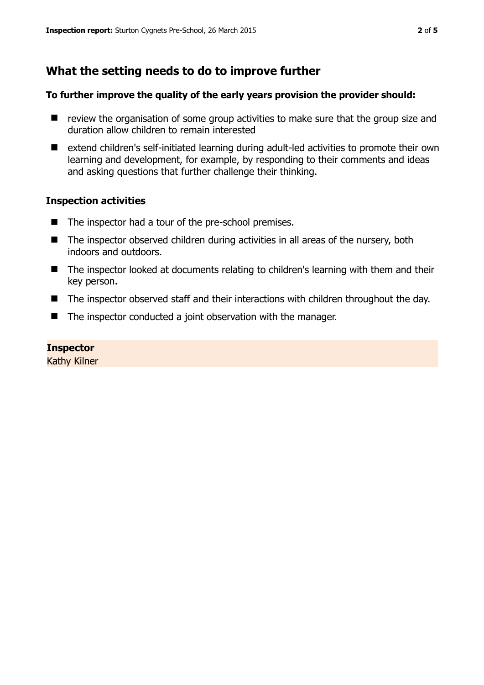# **What the setting needs to do to improve further**

#### **To further improve the quality of the early years provision the provider should:**

- $\blacksquare$  review the organisation of some group activities to make sure that the group size and duration allow children to remain interested
- extend children's self-initiated learning during adult-led activities to promote their own learning and development, for example, by responding to their comments and ideas and asking questions that further challenge their thinking.

#### **Inspection activities**

- The inspector had a tour of the pre-school premises.
- The inspector observed children during activities in all areas of the nursery, both indoors and outdoors.
- The inspector looked at documents relating to children's learning with them and their key person.
- The inspector observed staff and their interactions with children throughout the day.
- The inspector conducted a joint observation with the manager.

#### **Inspector**

Kathy Kilner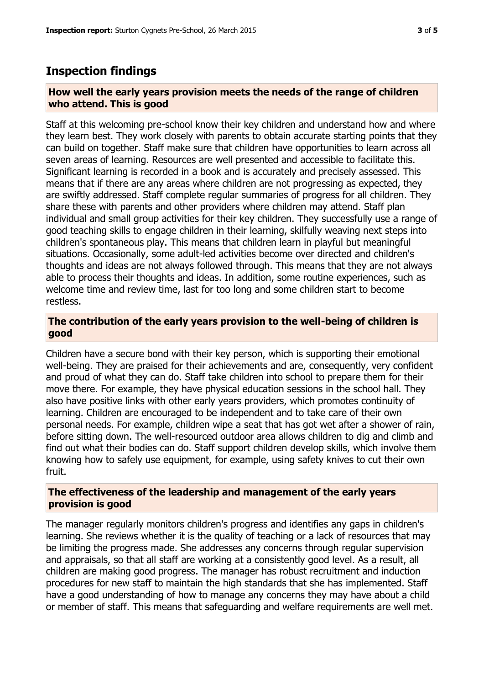## **Inspection findings**

#### **How well the early years provision meets the needs of the range of children who attend. This is good**

Staff at this welcoming pre-school know their key children and understand how and where they learn best. They work closely with parents to obtain accurate starting points that they can build on together. Staff make sure that children have opportunities to learn across all seven areas of learning. Resources are well presented and accessible to facilitate this. Significant learning is recorded in a book and is accurately and precisely assessed. This means that if there are any areas where children are not progressing as expected, they are swiftly addressed. Staff complete regular summaries of progress for all children. They share these with parents and other providers where children may attend. Staff plan individual and small group activities for their key children. They successfully use a range of good teaching skills to engage children in their learning, skilfully weaving next steps into children's spontaneous play. This means that children learn in playful but meaningful situations. Occasionally, some adult-led activities become over directed and children's thoughts and ideas are not always followed through. This means that they are not always able to process their thoughts and ideas. In addition, some routine experiences, such as welcome time and review time, last for too long and some children start to become restless.

#### **The contribution of the early years provision to the well-being of children is good**

Children have a secure bond with their key person, which is supporting their emotional well-being. They are praised for their achievements and are, consequently, very confident and proud of what they can do. Staff take children into school to prepare them for their move there. For example, they have physical education sessions in the school hall. They also have positive links with other early years providers, which promotes continuity of learning. Children are encouraged to be independent and to take care of their own personal needs. For example, children wipe a seat that has got wet after a shower of rain, before sitting down. The well-resourced outdoor area allows children to dig and climb and find out what their bodies can do. Staff support children develop skills, which involve them knowing how to safely use equipment, for example, using safety knives to cut their own fruit.

#### **The effectiveness of the leadership and management of the early years provision is good**

The manager regularly monitors children's progress and identifies any gaps in children's learning. She reviews whether it is the quality of teaching or a lack of resources that may be limiting the progress made. She addresses any concerns through regular supervision and appraisals, so that all staff are working at a consistently good level. As a result, all children are making good progress. The manager has robust recruitment and induction procedures for new staff to maintain the high standards that she has implemented. Staff have a good understanding of how to manage any concerns they may have about a child or member of staff. This means that safeguarding and welfare requirements are well met.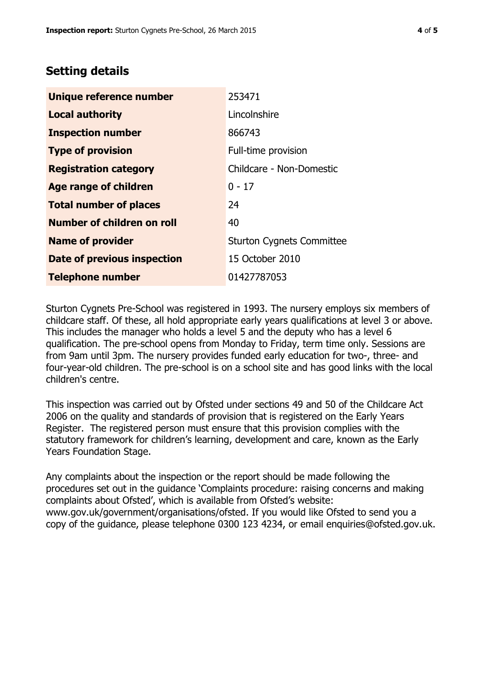## **Setting details**

| Unique reference number       | 253471                           |  |  |
|-------------------------------|----------------------------------|--|--|
| <b>Local authority</b>        | Lincolnshire                     |  |  |
| <b>Inspection number</b>      | 866743                           |  |  |
| <b>Type of provision</b>      | Full-time provision              |  |  |
| <b>Registration category</b>  | Childcare - Non-Domestic         |  |  |
| Age range of children         | $0 - 17$                         |  |  |
| <b>Total number of places</b> | 24                               |  |  |
| Number of children on roll    | 40                               |  |  |
| <b>Name of provider</b>       | <b>Sturton Cygnets Committee</b> |  |  |
| Date of previous inspection   | 15 October 2010                  |  |  |
| <b>Telephone number</b>       | 01427787053                      |  |  |

Sturton Cygnets Pre-School was registered in 1993. The nursery employs six members of childcare staff. Of these, all hold appropriate early years qualifications at level 3 or above. This includes the manager who holds a level 5 and the deputy who has a level 6 qualification. The pre-school opens from Monday to Friday, term time only. Sessions are from 9am until 3pm. The nursery provides funded early education for two-, three- and four-year-old children. The pre-school is on a school site and has good links with the local children's centre.

This inspection was carried out by Ofsted under sections 49 and 50 of the Childcare Act 2006 on the quality and standards of provision that is registered on the Early Years Register. The registered person must ensure that this provision complies with the statutory framework for children's learning, development and care, known as the Early Years Foundation Stage.

Any complaints about the inspection or the report should be made following the procedures set out in the guidance 'Complaints procedure: raising concerns and making complaints about Ofsted', which is available from Ofsted's website: www.gov.uk/government/organisations/ofsted. If you would like Ofsted to send you a copy of the guidance, please telephone 0300 123 4234, or email enquiries@ofsted.gov.uk.